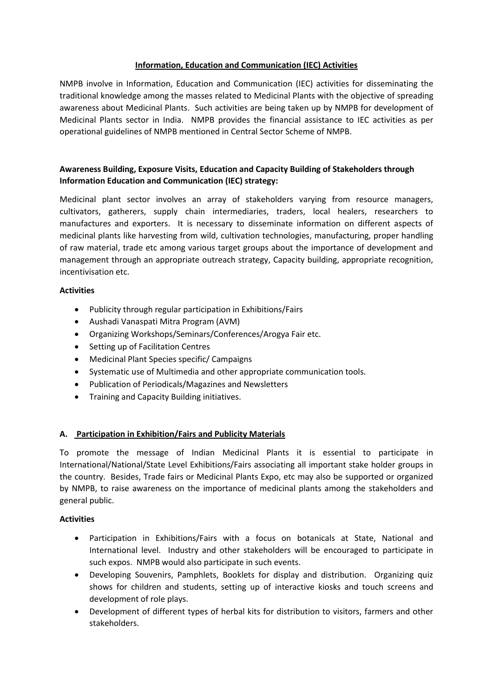# **Information, Education and Communication (IEC) Activities**

NMPB involve in Information, Education and Communication (IEC) activities for disseminating the traditional knowledge among the masses related to Medicinal Plants with the objective of spreading awareness about Medicinal Plants. Such activities are being taken up by NMPB for development of Medicinal Plants sector in India. NMPB provides the financial assistance to IEC activities as per operational guidelines of NMPB mentioned in Central Sector Scheme of NMPB.

# **Awareness Building, Exposure Visits, Education and Capacity Building of Stakeholders through Information Education and Communication (IEC) strategy:**

Medicinal plant sector involves an array of stakeholders varying from resource managers, cultivators, gatherers, supply chain intermediaries, traders, local healers, researchers to manufactures and exporters. It is necessary to disseminate information on different aspects of medicinal plants like harvesting from wild, cultivation technologies, manufacturing, proper handling of raw material, trade etc among various target groups about the importance of development and management through an appropriate outreach strategy, Capacity building, appropriate recognition, incentivisation etc.

## **Activities**

- Publicity through regular participation in Exhibitions/Fairs
- Aushadi Vanaspati Mitra Program (AVM)
- Organizing Workshops/Seminars/Conferences/Arogya Fair etc.
- Setting up of Facilitation Centres
- Medicinal Plant Species specific/ Campaigns
- Systematic use of Multimedia and other appropriate communication tools.
- Publication of Periodicals/Magazines and Newsletters
- **•** Training and Capacity Building initiatives.

# **A. Participation in Exhibition/Fairs and Publicity Materials**

To promote the message of Indian Medicinal Plants it is essential to participate in International/National/State Level Exhibitions/Fairs associating all important stake holder groups in the country. Besides, Trade fairs or Medicinal Plants Expo, etc may also be supported or organized by NMPB, to raise awareness on the importance of medicinal plants among the stakeholders and general public.

### **Activities**

- Participation in Exhibitions/Fairs with a focus on botanicals at State, National and International level. Industry and other stakeholders will be encouraged to participate in such expos. NMPB would also participate in such events.
- Developing Souvenirs, Pamphlets, Booklets for display and distribution. Organizing quiz shows for children and students, setting up of interactive kiosks and touch screens and development of role plays.
- Development of different types of herbal kits for distribution to visitors, farmers and other stakeholders.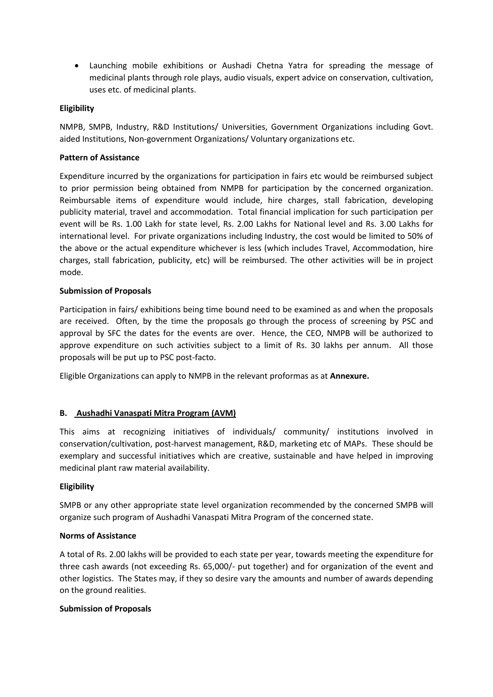Launching mobile exhibitions or Aushadi Chetna Yatra for spreading the message of medicinal plants through role plays, audio visuals, expert advice on conservation, cultivation, uses etc. of medicinal plants.

# **Eligibility**

NMPB, SMPB, Industry, R&D Institutions/ Universities, Government Organizations including Govt. aided Institutions, Non-government Organizations/ Voluntary organizations etc.

## **Pattern of Assistance**

Expenditure incurred by the organizations for participation in fairs etc would be reimbursed subject to prior permission being obtained from NMPB for participation by the concerned organization. Reimbursable items of expenditure would include, hire charges, stall fabrication, developing publicity material, travel and accommodation. Total financial implication for such participation per event will be Rs. 1.00 Lakh for state level, Rs. 2.00 Lakhs for National level and Rs. 3.00 Lakhs for international level. For private organizations including Industry, the cost would be limited to 50% of the above or the actual expenditure whichever is less (which includes Travel, Accommodation, hire charges, stall fabrication, publicity, etc) will be reimbursed. The other activities will be in project mode.

## **Submission of Proposals**

Participation in fairs/ exhibitions being time bound need to be examined as and when the proposals are received. Often, by the time the proposals go through the process of screening by PSC and approval by SFC the dates for the events are over. Hence, the CEO, NMPB will be authorized to approve expenditure on such activities subject to a limit of Rs. 30 lakhs per annum. All those proposals will be put up to PSC post-facto.

Eligible Organizations can apply to NMPB in the relevant proformas as at **Annexure.**

# **B. Aushadhi Vanaspati Mitra Program (AVM)**

This aims at recognizing initiatives of individuals/ community/ institutions involved in conservation/cultivation, post-harvest management, R&D, marketing etc of MAPs. These should be exemplary and successful initiatives which are creative, sustainable and have helped in improving medicinal plant raw material availability.

### **Eligibility**

SMPB or any other appropriate state level organization recommended by the concerned SMPB will organize such program of Aushadhi Vanaspati Mitra Program of the concerned state.

### **Norms of Assistance**

A total of Rs. 2.00 lakhs will be provided to each state per year, towards meeting the expenditure for three cash awards (not exceeding Rs. 65,000/- put together) and for organization of the event and other logistics. The States may, if they so desire vary the amounts and number of awards depending on the ground realities.

### **Submission of Proposals**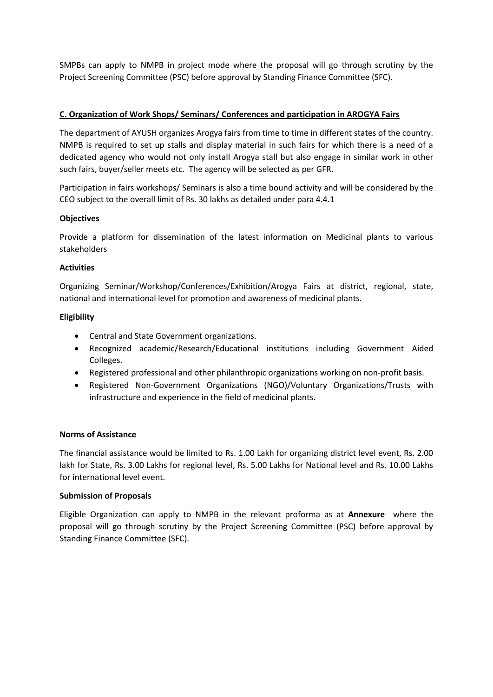SMPBs can apply to NMPB in project mode where the proposal will go through scrutiny by the Project Screening Committee (PSC) before approval by Standing Finance Committee (SFC).

# **C. Organization of Work Shops/ Seminars/ Conferences and participation in AROGYA Fairs**

The department of AYUSH organizes Arogya fairs from time to time in different states of the country. NMPB is required to set up stalls and display material in such fairs for which there is a need of a dedicated agency who would not only install Arogya stall but also engage in similar work in other such fairs, buyer/seller meets etc. The agency will be selected as per GFR.

Participation in fairs workshops/ Seminars is also a time bound activity and will be considered by the CEO subject to the overall limit of Rs. 30 lakhs as detailed under para 4.4.1

### **Objectives**

Provide a platform for dissemination of the latest information on Medicinal plants to various stakeholders

### **Activities**

Organizing Seminar/Workshop/Conferences/Exhibition/Arogya Fairs at district, regional, state, national and international level for promotion and awareness of medicinal plants.

#### **Eligibility**

- Central and State Government organizations.
- Recognized academic/Research/Educational institutions including Government Aided Colleges.
- Registered professional and other philanthropic organizations working on non-profit basis.
- Registered Non-Government Organizations (NGO)/Voluntary Organizations/Trusts with infrastructure and experience in the field of medicinal plants.

#### **Norms of Assistance**

The financial assistance would be limited to Rs. 1.00 Lakh for organizing district level event, Rs. 2.00 lakh for State, Rs. 3.00 Lakhs for regional level, Rs. 5.00 Lakhs for National level and Rs. 10.00 Lakhs for international level event.

### **Submission of Proposals**

Eligible Organization can apply to NMPB in the relevant proforma as at **Annexure** where the proposal will go through scrutiny by the Project Screening Committee (PSC) before approval by Standing Finance Committee (SFC).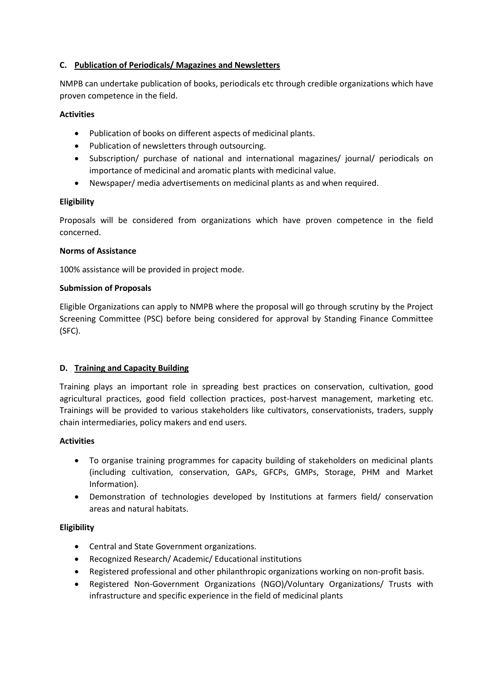# **C. Publication of Periodicals/ Magazines and Newsletters**

NMPB can undertake publication of books, periodicals etc through credible organizations which have proven competence in the field.

### **Activities**

- Publication of books on different aspects of medicinal plants.
- Publication of newsletters through outsourcing.
- Subscription/ purchase of national and international magazines/ journal/ periodicals on importance of medicinal and aromatic plants with medicinal value.
- Newspaper/ media advertisements on medicinal plants as and when required.

## **Eligibility**

Proposals will be considered from organizations which have proven competence in the field concerned.

## **Norms of Assistance**

100% assistance will be provided in project mode.

## **Submission of Proposals**

Eligible Organizations can apply to NMPB where the proposal will go through scrutiny by the Project Screening Committee (PSC) before being considered for approval by Standing Finance Committee (SFC).

# **D. Training and Capacity Building**

Training plays an important role in spreading best practices on conservation, cultivation, good agricultural practices, good field collection practices, post-harvest management, marketing etc. Trainings will be provided to various stakeholders like cultivators, conservationists, traders, supply chain intermediaries, policy makers and end users.

### **Activities**

- To organise training programmes for capacity building of stakeholders on medicinal plants (including cultivation, conservation, GAPs, GFCPs, GMPs, Storage, PHM and Market Information).
- Demonstration of technologies developed by Institutions at farmers field/ conservation areas and natural habitats.

# **Eligibility**

- Central and State Government organizations.
- Recognized Research/ Academic/ Educational institutions
- Registered professional and other philanthropic organizations working on non-profit basis.
- Registered Non-Government Organizations (NGO)/Voluntary Organizations/ Trusts with infrastructure and specific experience in the field of medicinal plants